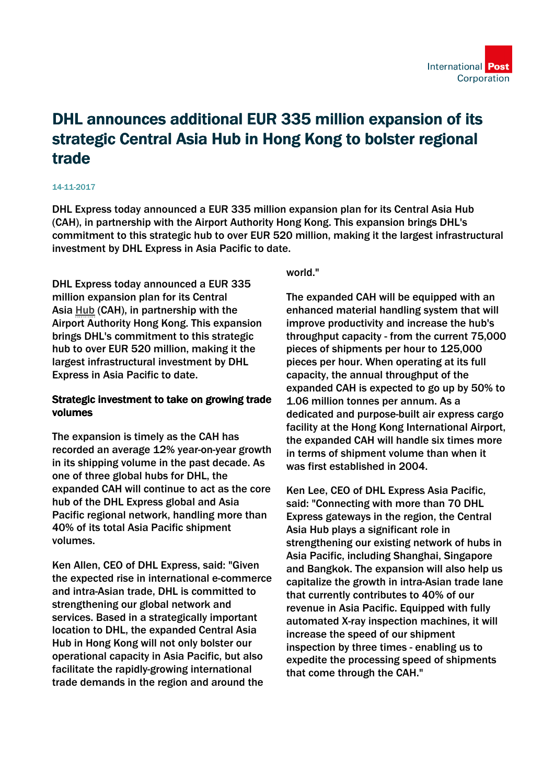

## DHL announces additional EUR 335 million expansion of its strategic Central Asia Hub in Hong Kong to bolster regional trade

## 14-11-2017

DHL Express today announced a EUR 335 million expansion plan for its Central Asia Hub (CAH), in partnership with the Airport Authority Hong Kong. This expansion brings DHL's commitment to this strategic hub to over EUR 520 million, making it the largest infrastructural investment by DHL Express in Asia Pacific to date.

DHL Express today announced a EUR 335 million expansion plan for its Central Asia [Hub \(](http://www.dpdhl.com/en/logistics_around_us/glossary.html#glossary-hub)CAH), in partnership with the Airport Authority Hong Kong. This expansion brings DHL's commitment to this strategic hub to over EUR 520 million, making it the largest infrastructural investment by DHL Express in Asia Pacific to date.

## Strategic investment to take on growing trade volumes

The expansion is timely as the CAH has recorded an average 12% year-on-year growth in its shipping volume in the past decade. As one of three global hubs for DHL, the expanded CAH will continue to act as the core hub of the DHL Express global and Asia Pacific regional network, handling more than 40% of its total Asia Pacific shipment volumes.

Ken Allen, CEO of DHL Express, said: "Given the expected rise in international e-commerce and intra-Asian trade, DHL is committed to strengthening our global network and services. Based in a strategically important location to DHL, the expanded Central Asia Hub in Hong Kong will not only bolster our operational capacity in Asia Pacific, but also facilitate the rapidly-growing international trade demands in the region and around the

world."

The expanded CAH will be equipped with an enhanced material handling system that will improve productivity and increase the hub's throughput capacity - from the current 75,000 pieces of shipments per hour to 125,000 pieces per hour. When operating at its full capacity, the annual throughput of the expanded CAH is expected to go up by 50% to 1.06 million tonnes per annum. As a dedicated and purpose-built air express cargo facility at the Hong Kong International Airport, the expanded CAH will handle six times more in terms of shipment volume than when it was first established in 2004.

Ken Lee, CEO of DHL Express Asia Pacific, said: "Connecting with more than 70 DHL Express gateways in the region, the Central Asia Hub plays a significant role in strengthening our existing network of hubs in Asia Pacific, including Shanghai, Singapore and Bangkok. The expansion will also help us capitalize the growth in intra-Asian trade lane that currently contributes to 40% of our revenue in Asia Pacific. Equipped with fully automated X-ray inspection machines, it will increase the speed of our shipment inspection by three times - enabling us to expedite the processing speed of shipments that come through the CAH."